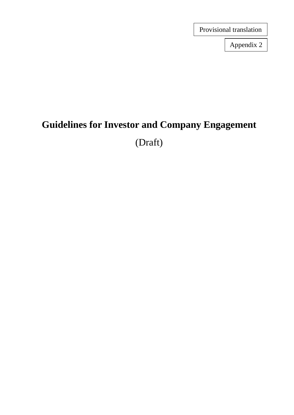Provisional translation

Appendix 2

# **Guidelines for Investor and Company Engagement**

(Draft)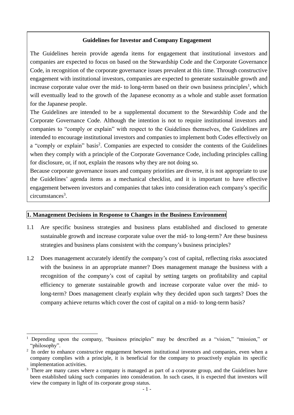## **Guidelines for Investor and Company Engagement**

The Guidelines herein provide agenda items for engagement that institutional investors and companies are expected to focus on based on the Stewardship Code and the Corporate Governance Code, in recognition of the corporate governance issues prevalent at this time. Through constructive engagement with institutional investors, companies are expected to generate sustainable growth and increase corporate value over the mid- to long-term based on their own business principles<sup>1</sup>, which will eventually lead to the growth of the Japanese economy as a whole and stable asset formation for the Japanese people.

The Guidelines are intended to be a supplemental document to the Stewardship Code and the Corporate Governance Code. Although the intention is not to require institutional investors and companies to "comply or explain" with respect to the Guidelines themselves, the Guidelines are intended to encourage institutional investors and companies to implement both Codes effectively on a "comply or explain" basis<sup>2</sup>. Companies are expected to consider the contents of the Guidelines when they comply with a principle of the Corporate Governance Code, including principles calling for disclosure, or, if not, explain the reasons why they are not doing so.

Because corporate governance issues and company priorities are diverse, it is not appropriate to use the Guidelines' agenda items as a mechanical checklist, and it is important to have effective engagement between investors and companies that takes into consideration each company's specific circumstances<sup>3</sup>.

## **1. Management Decisions in Response to Changes in the Business Environment**

- 1.1 Are specific business strategies and business plans established and disclosed to generate sustainable growth and increase corporate value over the mid- to long-term? Are these business strategies and business plans consistent with the company's business principles?
- 1.2 Does management accurately identify the company's cost of capital, reflecting risks associated with the business in an appropriate manner? Does management manage the business with a recognition of the company's cost of capital by setting targets on profitability and capital efficiency to generate sustainable growth and increase corporate value over the mid- to long-term? Does management clearly explain why they decided upon such targets? Does the company achieve returns which cover the cost of capital on a mid- to long-term basis?

<sup>&</sup>lt;sup>1</sup> Depending upon the company, "business principles" may be described as a "vision," "mission," or "philosophy".

<sup>&</sup>lt;sup>2</sup> In order to enhance constructive engagement between institutional investors and companies, even when a company complies with a principle, it is beneficial for the company to proactively explain its specific implementation activities.

 $3\text{ There are many cases where a company is managed as part of a corporate group, and the Guidelines have }$ been established taking such companies into consideration. In such cases, it is expected that investors will view the company in light of its corporate group status.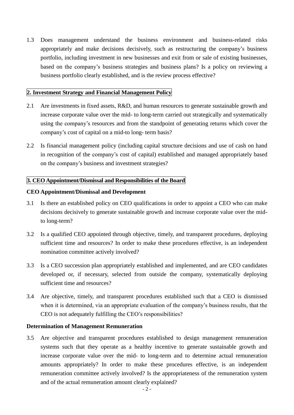1.3 Does management understand the business environment and business-related risks appropriately and make decisions decisively, such as restructuring the company's business portfolio, including investment in new businesses and exit from or sale of existing businesses, based on the company's business strategies and business plans? Is a policy on reviewing a business portfolio clearly established, and is the review process effective?

#### **2. Investment Strategy and Financial Management Policy**

- 2.1 Are investments in fixed assets, R&D, and human resources to generate sustainable growth and increase corporate value over the mid- to long-term carried out strategically and systematically using the company's resources and from the standpoint of generating returns which cover the company's cost of capital on a mid-to long- term basis?
- 2.2 Is financial management policy (including capital structure decisions and use of cash on hand in recognition of the company's cost of capital) established and managed appropriately based on the company's business and investment strategies?

## **3. CEO Appointment/Dismissal and Responsibilities of the Board**

#### **CEO Appointment/Dismissal and Development**

- 3.1 Is there an established policy on CEO qualifications in order to appoint a CEO who can make decisions decisively to generate sustainable growth and increase corporate value over the midto long-term?
- 3.2 Is a qualified CEO appointed through objective, timely, and transparent procedures, deploying sufficient time and resources? In order to make these procedures effective, is an independent nomination committee actively involved?
- 3.3 Is a CEO succession plan appropriately established and implemented, and are CEO candidates developed or, if necessary, selected from outside the company, systematically deploying sufficient time and resources?
- 3.4 Are objective, timely, and transparent procedures established such that a CEO is dismissed when it is determined, via an appropriate evaluation of the company's business results, that the CEO is not adequately fulfilling the CEO's responsibilities?

#### **Determination of Management Remuneration**

3.5 Are objective and transparent procedures established to design management remuneration systems such that they operate as a healthy incentive to generate sustainable growth and increase corporate value over the mid- to long-term and to determine actual remuneration amounts appropriately? In order to make these procedures effective, is an independent remuneration committee actively involved? Is the appropriateness of the remuneration system and of the actual remuneration amount clearly explained?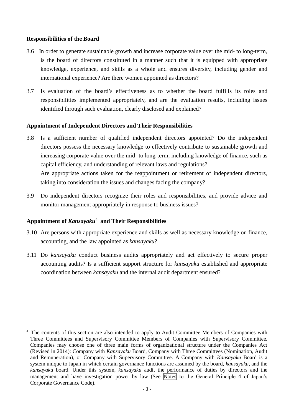#### **Responsibilities of the Board**

- 3.6 In order to generate sustainable growth and increase corporate value over the mid- to long-term, is the board of directors constituted in a manner such that it is equipped with appropriate knowledge, experience, and skills as a whole and ensures diversity, including gender and international experience? Are there women appointed as directors?
- 3.7 Is evaluation of the board's effectiveness as to whether the board fulfills its roles and responsibilities implemented appropriately, and are the evaluation results, including issues identified through such evaluation, clearly disclosed and explained?

#### **Appointment of Independent Directors and Their Responsibilities**

- 3.8 Is a sufficient number of qualified independent directors appointed? Do the independent directors possess the necessary knowledge to effectively contribute to sustainable growth and increasing corporate value over the mid- to long-term, including knowledge of finance, such as capital efficiency, and understanding of relevant laws and regulations? Are appropriate actions taken for the reappointment or retirement of independent directors, taking into consideration the issues and changes facing the company?
- 3.9 Do independent directors recognize their roles and responsibilities, and provide advice and monitor management appropriately in response to business issues?

## **Appointment of** *Kansayaku*<sup>4</sup> **and Their Responsibilities**

 $\overline{a}$ 

- 3.10 Are persons with appropriate experience and skills as well as necessary knowledge on finance, accounting, and the law appointed as *kansayaku*?
- 3.11 Do *kansayaku* conduct business audits appropriately and act effectively to secure proper accounting audits? Is a sufficient support structure for *kansayaku* established and appropriate coordination between *kansayaku* and the internal audit department ensured?

<sup>4</sup> The contents of this section are also intended to apply to Audit Committee Members of Companies with Three Committees and Supervisory Committee Members of Companies with Supervisory Committee. Companies may choose one of three main forms of organizational structure under the Companies Act (Revised in 2014): Company with *Kansayaku* Board, Company with Three Committees (Nomination, Audit and Remuneration), or Company with Supervisory Committee. A Company with *Kansayaku* Board is a system unique to Japan in which certain governance functions are assumed by the board, *kansayaku*, and the *kansayaku* board. Under this system, *kansayaku* audit the performance of duties by directors and the management and have investigation power by law (See Notes to the General Principle 4 of Japan's Corporate Governance Code).